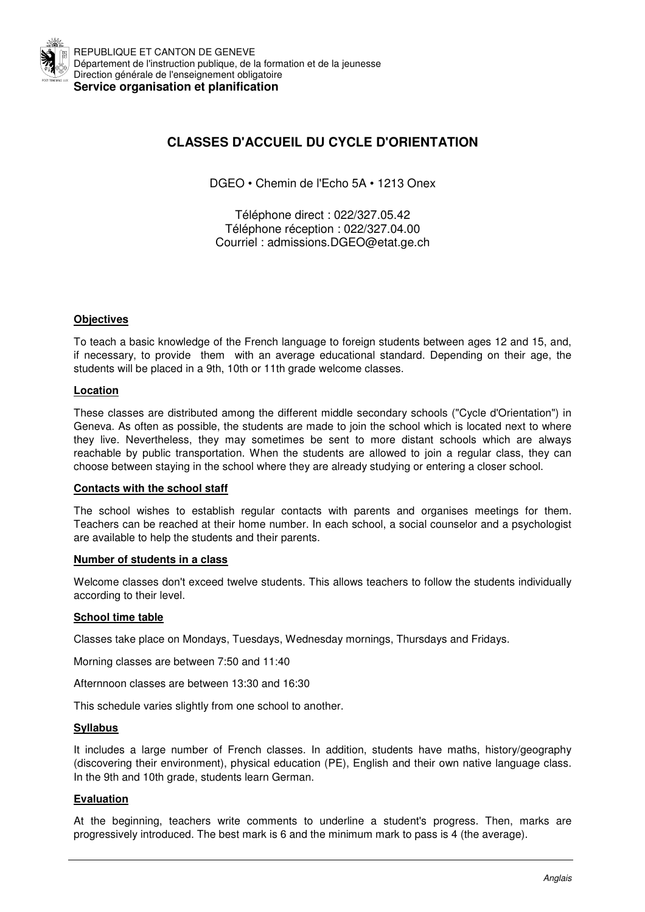

REPUBLIQUE ET CANTON DE GENEVE Département de l'instruction publique, de la formation et de la jeunesse Direction générale de l'enseignement obligatoire **Service organisation et planification** 

# **CLASSES D'ACCUEIL DU CYCLE D'ORIENTATION**

DGEO • Chemin de l'Echo 5A • 1213 Onex

Téléphone direct : 022/327.05.42 Téléphone réception : 022/327.04.00 Courriel : admissions.DGEO@etat.ge.ch

# **Objectives**

To teach a basic knowledge of the French language to foreign students between ages 12 and 15, and, if necessary, to provide them with an average educational standard. Depending on their age, the students will be placed in a 9th, 10th or 11th grade welcome classes.

# **Location**

These classes are distributed among the different middle secondary schools ("Cycle d'Orientation") in Geneva. As often as possible, the students are made to join the school which is located next to where they live. Nevertheless, they may sometimes be sent to more distant schools which are always reachable by public transportation. When the students are allowed to join a regular class, they can choose between staying in the school where they are already studying or entering a closer school.

## **Contacts with the school staff**

The school wishes to establish regular contacts with parents and organises meetings for them. Teachers can be reached at their home number. In each school, a social counselor and a psychologist are available to help the students and their parents.

## **Number of students in a class**

Welcome classes don't exceed twelve students. This allows teachers to follow the students individually according to their level.

## **School time table**

Classes take place on Mondays, Tuesdays, Wednesday mornings, Thursdays and Fridays.

Morning classes are between 7:50 and 11:40

Afternnoon classes are between 13:30 and 16:30

This schedule varies slightly from one school to another.

## **Syllabus**

It includes a large number of French classes. In addition, students have maths, history/geography (discovering their environment), physical education (PE), English and their own native language class. In the 9th and 10th grade, students learn German.

## **Evaluation**

At the beginning, teachers write comments to underline a student's progress. Then, marks are progressively introduced. The best mark is 6 and the minimum mark to pass is 4 (the average).